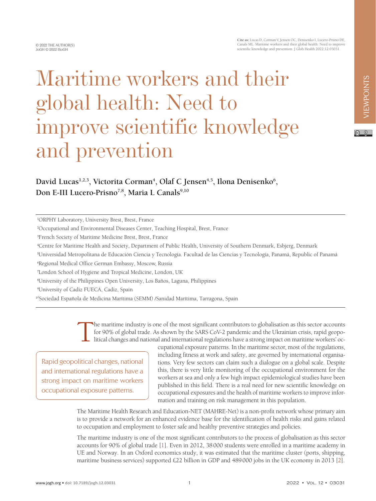**Cite as:** Lucas D, Corman V, Jensen OC, Denisenko I, Lucero-Prisno DE, Canals ML. Maritime workers and their global health: Need to improve scientific knowledge and prevention. J Glob Health 2022;12:03031.

## Maritime workers and their global health: Need to improve scientific knowledge and prevention

## David Lucas<sup>1,2,3</sup>, Victorita Corman<sup>4</sup>, Olaf C Jensen<sup>4,5</sup>, Ilona Denisenko<sup>6</sup>, Don E-III Lucero-Prisno<sup>7,8</sup>, Maria L Canals<sup>9,10</sup>

<sup>1</sup>ORPHY Laboratory, University Brest, Brest, France

<sup>2</sup>Occupational and Environmental Diseases Center, Teaching Hospital, Brest, France

<sup>3</sup>French Society of Maritime Medicine Brest, Brest, France

<sup>4</sup>Centre for Maritime Health and Society, Department of Public Health, University of Southern Denmark, Esbjerg, Denmark

<sup>5</sup>Universidad Metropolitana de Educación Ciencia y Tecnología. Facultad de las Ciencias y Tecnología, Panamá, Republic of Panamá

<sup>6</sup>Regional Medical Office German Embassy, Moscow, Russia

<sup>7</sup>London School of Hygiene and Tropical Medicine, London, UK

<sup>8</sup>University of the Philippines Open University, Los Baños, Laguna, Philippines

<sup>9</sup>University of Cadiz FUECA, Cadiz, Spain

<sup>10</sup>Sociedad Española de Medicina Marítima (SEMM) /Sanidad Marítima, Tarragona, Spain

The maritime industry is one of the most significant contributors to globalisation as this sector accounts for 90% of global trade. As shown by the SARS CoV-2 pandemic and the Ukrainian crisis, rapid geopolitical changes and national and international regulations have a strong impact on maritime workers' oc-

Rapid geopolitical changes, national and international regulations have a strong impact on maritime workers occupational exposure patterns.

cupational exposure patterns. In the maritime sector, most of the regulations, including fitness at work and safety, are governed by international organisations. Very few sectors can claim such a dialogue on a global scale. Despite this, there is very little monitoring of the occupational environment for the workers at sea and only a few high impact epidemiological studies have been published in this field. There is a real need for new scientific knowledge on occupational exposures and the health of maritime workers to improve information and training on risk management in this population.

The Maritime Health Research and Education-NET (MAHRE-Net) is a non-profit network whose primary aim is to provide a network for an enhanced evidence base for the identification of health risks and gains related to occupation and employment to foster safe and healthy preventive strategies and policies.

The maritime industry is one of the most significant contributors to the process of globalisation as this sector accounts for 90% of global trade [\[1](#page-2-0)]. Even in 2012, 38000 students were enrolled in a maritime academy in UE and Norway. In an Oxford economics study, it was estimated that the maritime cluster (ports, shipping, maritime business services) supported £22 billion in GDP and 489000 jobs in the UK economy in 2013 [[2\]](#page-2-1).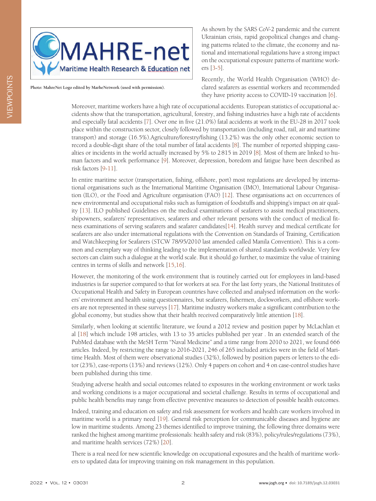

**Photo: MahreNet Logo edited by MarheNetwork (used with permission).**

As shown by the SARS CoV-2 pandemic and the current Ukrainian crisis, rapid geopolitical changes and changing patterns related to the climate, the economy and national and international regulations have a strong impact on the occupational exposure patterns of maritime workers [\[3](#page-2-2)-[5\]](#page-2-3).

Recently, the World Health Organisation (WHO) declared seafarers as essential workers and recommended they have priority access to COVID-19 vaccination [\[6](#page-2-4)].

Moreover, maritime workers have a high rate of occupational accidents. European statistics of occupational accidents show that the transportation, agricultural, forestry, and fishing industries have a high rate of accidents and especially fatal accidents [\[7](#page-2-5)]. Over one in five (21.0%) fatal accidents at work in the EU-28 in 2017 took place within the construction sector, closely followed by transportation (including road, rail, air and maritime transport) and storage (16.5%).Agriculture/forestry/fishing (13.2%) was the only other economic section to record a double-digit share of the total number of fatal accidents [[8\]](#page-2-6). The number of reported shipping casualties or incidents in the world actually increased by 5% to 2815 in 2019 [\[8](#page-2-6)]. Most of them are linked to human factors and work performance [[9\]](#page-2-7). Moreover, depression, boredom and fatigue have been described as risk factors [\[9](#page-2-7)[-11](#page-2-8)].

In entire maritime sector (transportation, fishing, offshore, port) most regulations are developed by international organisations such as the International Maritime Organisation (IMO), International Labour Organisation (ILO), or the Food and Agriculture organisation (FAO) [\[12](#page-2-9)]. These organisations act on occurrences of new environmental and occupational risks such as fumigation of foodstuffs and shipping's impact on air quality [[13\]](#page-3-0). ILO published Guidelines on the medical examinations of seafarers to assist medical practitioners, shipowners, seafarers' representatives, seafarers and other relevant persons with the conduct of medical fitness examinations of serving seafarers and seafarer candidates[\[14](#page-3-1)]. Health survey and medical certificate for seafarers are also under international regulations with the Convention on Standards of Training, Certification and Watchkeeping for Seafarers (STCW 78/95/2010 last amended called Manila Convention). This is a common and exemplary way of thinking leading to the implementation of shared standards worldwide. Very few sectors can claim such a dialogue at the world scale. But it should go further, to maximize the value of training centres in terms of skills and network [\[15](#page-3-2),[16\]](#page-3-3).

However, the monitoring of the work environment that is routinely carried out for employees in land-based industries is far superior compared to that for workers at sea. For the last forty years, the National Institutes of Occupational Health and Safety in European countries have collected and analysed information on the workers' environment and health using questionnaires, but seafarers, fishermen, dockworkers, and offshore workers are not represented in these surveys [[17\]](#page-3-4). Maritime industry workers make a significant contribution to the global economy, but studies show that their health received comparatively little attention [[18\]](#page-3-5).

Similarly, when looking at scientific literature, we found a 2012 review and position paper by McLachlan et al [\[18\]](#page-3-5) which include 198 articles, with 13 to 35 articles published per year . In an extended search of the PubMed database with the MeSH Term "Naval Medicine" and a time range from 2010 to 2021, we found 666 articles. Indeed, by restricting the range to 2016-2021, 246 of 265 included articles were in the field of Maritime Health. Most of them were observational studies (32%), followed by position papers or letters to the editor (23%), case-reports (13%) and reviews (12%). Only 4 papers on cohort and 4 on case-control studies have been published during this time.

Studying adverse health and social outcomes related to exposures in the working environment or work tasks and working conditions is a major occupational and societal challenge. Results in terms of occupational and public health benefits may range from effective preventive measures to detection of possible health outcomes.

Indeed, training and education on safety and risk assessment for workers and health care workers involved in maritime world is a primary need [[19\]](#page-3-6). General risk perception for communicable diseases and hygiene are low in maritime students. Among 23 themes identified to improve training, the following three domains were ranked the highest among maritime professionals: health safety and risk (83%), policy/rules/regulations (73%), and maritime health services (72%) [\[20](#page-3-7)].

There is a real need for new scientific knowledge on occupational exposures and the health of maritime workers to updated data for improving training on risk management in this population.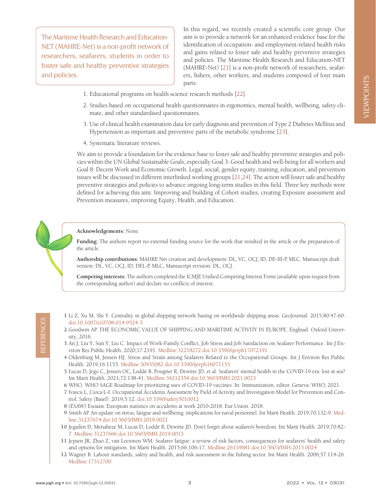VIEWPOINTS VIEWPOINTS

The Maritime Health Research and Education-NET (MAHRE-Net) is a non-profit network of researchers, seafarers, students in order to foster safe and healthy preventive strategies and policies.

In this regard, we recently created a scientific core group. Our aim is to provide a network for an enhanced evidence base for the identification of occupation- and employment-related health risks and gains related to foster safe and healthy preventive strategies and policies. The Maritime Health Research and Education-NET (MAHRE-Net) [[21\]](#page-3-8) is a non-profit network of researchers, seafarers, fishers, other workers, and students composed of four main parts:

- 1. Educational programs on health science research methods [[22](#page-3-9)].
- 2. Studies based on occupational health questionnaires in ergonomics, mental health, wellbeing, safety climate, and other standardised questionnaires.
- 3. Use of clinical health examination data for early diagnosis and prevention of Type 2 Diabetes Mellitus and Hypertension as important and preventive parts of the metabolic syndrome [[23](#page-3-10)].
- 4. Systematic literature reviews.

We aim to provide a foundation for the evidence base to foster safe and healthy preventive strategies and policies within the UN Global Sustainable Goals, especially Goal 3: Good health and well-being for all workers and Goal 8: Decent Work and Economic Growth. Legal, social, gender equity, training, education, and prevention issues will be discussed in different interlinked working groups [[21](#page-3-8),[24\]](#page-3-11). The action will foster safe and healthy preventive strategies and policies to advance ongoing long-term studies in this field. Three key methods were defined for achieving this aim: Improving and building of Cohort studies, creating Exposure assessment and Prevention measures, improving Equity, Health, and Education.

## **Acknowledgements:** None.

**Funding:** The authors report no external funding source for the work that resulted in the article or the preparation of the article.

**Authorship contributions:** MAHRE Net creation and development: DL, VC, OCJ, ID, DE-III-P, MLC. Manuscript draft version: DL, VC, OCJ, ID, DEL-P, MLC, Manuscript revision: DL, OCJ.

**Competing interests:** The authors completed the ICMJE Unified Competing Interest Form (available upon request from the corresponding author) and declare no conflicts of interest.

- <span id="page-2-0"></span>1 Li Z, Xu M, Shi Y. Centrality in global shipping network basing on worldwide shipping areas. GeoJournal. 2015;80:47-60. [doi:10.1007/s10708-014-9524-3](https://doi.org/10.1007/s10708-014-9524-3)
- <span id="page-2-1"></span>2 Goodwin AP. THE ECONOMIC VALUE OF SHIPPING AND MARITIME ACTIVITY IN EUROPE. Englnad: Oxford University, 2016.
- <span id="page-2-2"></span>3 An J, Liu Y, Sun Y, Liu C. Impact of Work-Family Conflict, Job Stress and Job Satisfaction on Seafarer Performance. Int J Environ Res Public Health. 2020;17:2191. [Medline:32218272](https://www.ncbi.nlm.nih.gov/entrez/query.fcgi?cmd=Retrieve&db=PubMed&list_uids=32218272&dopt=Abstract) [doi:10.3390/ijerph17072191](https://doi.org/10.3390/ijerph17072191)
- 4 Oldenburg M, Jensen HJ. Stress and Strain among Seafarers Related to the Occupational Groups. Int J Environ Res Public Health. 2019;16:1153. [Medline:30935082](https://www.ncbi.nlm.nih.gov/entrez/query.fcgi?cmd=Retrieve&db=PubMed&list_uids=30935082&dopt=Abstract) [doi:10.3390/ijerph16071153](https://doi.org/10.3390/ijerph16071153)
- <span id="page-2-3"></span>5 Lucas D, Jego C, Jensen OC, Loddé B, Pougnet R, Dewitte JD, et al. Seafarers' mental health in the COVID-19 era: lost at sea? Int Marit Health. 2021;72:138-41. [Medline:34212354](https://www.ncbi.nlm.nih.gov/entrez/query.fcgi?cmd=Retrieve&db=PubMed&list_uids=34212354&dopt=Abstract) [doi:10.5603/IMH.2021.0023](https://doi.org/10.5603/IMH.2021.0023)
- <span id="page-2-4"></span>6 WHO. WHO SAGE Roadmap for prioritizing uses of COVID-19 vaccines. In: Immunization, editor. Geneva: WHO; 2021.
- <span id="page-2-5"></span>7 Ivascu L, Cioca L-I. Occupational Accidents Assessment by Field of Activity and Investigation Model for Prevention and Control. Safety (Basel). 2019;5:12. [doi:10.3390/safety5010012](https://doi.org/10.3390/safety5010012)
- <span id="page-2-6"></span>8 (ESAW) Esoaaw. European statistics on accidents at work 2010-2018. Eur Union. 2018.
- <span id="page-2-9"></span><span id="page-2-8"></span><span id="page-2-7"></span>9 Smith AP. An update on stress, fatigue and wellbeing: implications for naval personnel. Int Marit Health. 2019;70:132-9. [Med](https://www.ncbi.nlm.nih.gov/entrez/query.fcgi?cmd=Retrieve&db=PubMed&list_uids=31237674&dopt=Abstract)[line:31237674](https://www.ncbi.nlm.nih.gov/entrez/query.fcgi?cmd=Retrieve&db=PubMed&list_uids=31237674&dopt=Abstract) [doi:10.5603/IMH.2019.0021](https://doi.org/10.5603/IMH.2019.0021)
- doi: 10.1007/s10708-014-9524-3<br>
doi: 10.1007/s10708-014-9524-3<br>
20codemn AR-THE ECONOMIC VAILUE OF SHIPPING AND MARITIME ACTIVITY IN EUROPE. Englnad: Oxford Univer-<br>
six y, 2016.<br>
3 An J. I. ia V, Sam V, Lin (2. Impact of 10 Jegaden D, Menaheze M, Lucas D, Loddé B, Dewitte JD. Don't forget about seafarer's boredom. Int Marit Health. 2019;70:82- 7. [Medline:31237666](https://www.ncbi.nlm.nih.gov/entrez/query.fcgi?cmd=Retrieve&db=PubMed&list_uids=31237666&dopt=Abstract) [doi:10.5603/IMH.2019.0013](https://doi.org/10.5603/IMH.2019.0013)
	- 11 Jepsen JR, Zhao Z, van Leeuwen WM. Seafarer fatigue: a review of risk factors, consequences for seafarers' health and safety and options for mitigation. Int Marit Health. 2015;66:106-17. [Medline:26119681](https://www.ncbi.nlm.nih.gov/entrez/query.fcgi?cmd=Retrieve&db=PubMed&list_uids=26119681&dopt=Abstract) [doi:10.5603/IMH.2015.0024](https://doi.org/10.5603/IMH.2015.0024)
	- 12 Wagner B. Labour standards, safety and health, and risk assessment in the fishing sector. Int Marit Health. 2006;57:114-26. [Medline:17312700](https://www.ncbi.nlm.nih.gov/entrez/query.fcgi?cmd=Retrieve&db=PubMed&list_uids=17312700&dopt=Abstract)